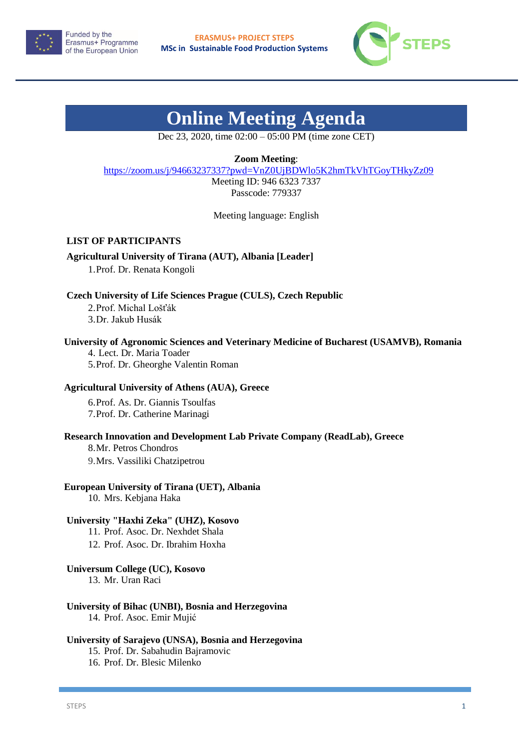



# **Online Meeting Agenda**

Dec 23, 2020, time 02:00 – 05:00 PM (time zone CET)

**Zoom Meeting**:

<https://zoom.us/j/94663237337?pwd=VnZ0UjBDWlo5K2hmTkVhTGoyTHkyZz09>

Meeting ID: 946 6323 7337 Passcode: 779337

Meeting language: English

# **LIST OF PARTICIPANTS**

**Agricultural University of Tirana (AUT), Albania [Leader]** 1.Prof. Dr. Renata Kongoli

**Czech University of Life Sciences Prague (CULS), Czech Republic**

2.Prof. Michal Lošťák 3.Dr. Jakub Husák

### **University of Agronomic Sciences and Veterinary Medicine of Bucharest (USAMVB), Romania**

4. Lect. Dr. Maria Toader 5.Prof. Dr. Gheorghe Valentin Roman

#### **Agricultural University of Athens (AUA), Greece**

6.Prof. As. Dr. Giannis Tsoulfas 7.Prof. Dr. Catherine Marinagi

#### **Research Innovation and Development Lab Private Company (ReadLab), Greece**

8.Mr. Petros Chondros

9.Mrs. Vassiliki Chatzipetrou

# **European University of Tirana (UET), Albania**

10. Mrs. Kebjana Haka

# **University "Haxhi Zeka" (UHZ), Kosovo**

11. Prof. Asoc. Dr. Nexhdet Shala

12. Prof. Asoc. Dr. Ibrahim Hoxha

#### **Universum College (UC), Kosovo**

13. Mr. Uran Raci

# **University of Bihac (UNBI), Bosnia and Herzegovina**

14. Prof. Asoc. Emir Mujić

#### **University of Sarajevo (UNSA), Bosnia and Herzegovina**

15. Prof. Dr. Sabahudin Bajramovic

16. Prof. Dr. Blesic Milenko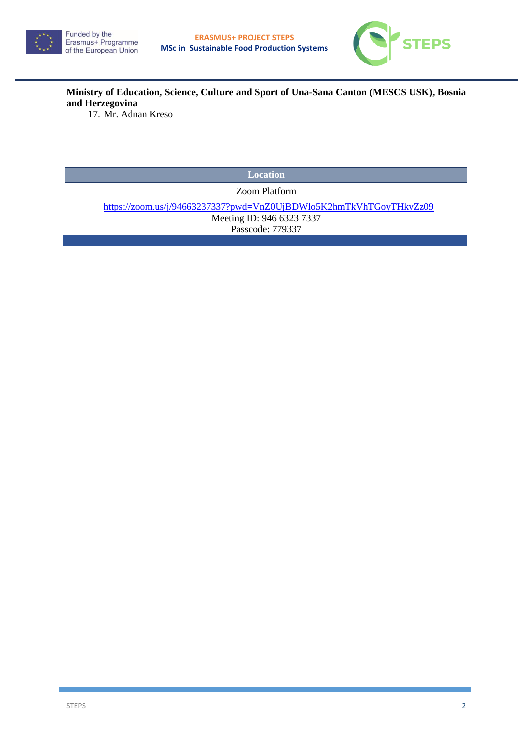



**Ministry of Education, Science, Culture and Sport of Una-Sana Canton (MESCS USK), Bosnia and Herzegovina**

17. Mr. Adnan Kreso

**Location** 

Zoom Platform

<https://zoom.us/j/94663237337?pwd=VnZ0UjBDWlo5K2hmTkVhTGoyTHkyZz09>

Meeting ID: 946 6323 7337 Passcode: 779337